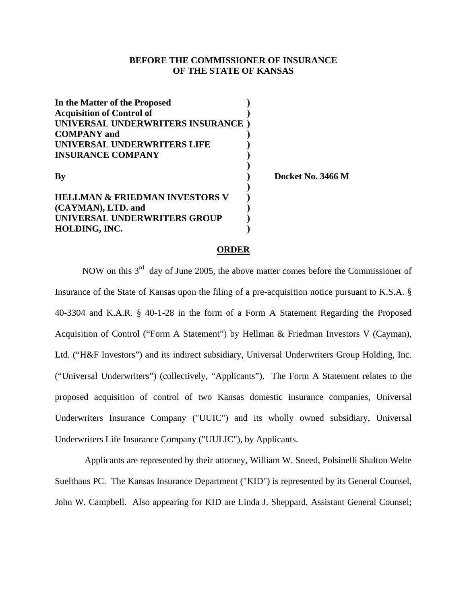## **BEFORE THE COMMISSIONER OF INSURANCE OF THE STATE OF KANSAS**

| In the Matter of the Proposed     |                   |
|-----------------------------------|-------------------|
| <b>Acquisition of Control of</b>  |                   |
| UNIVERSAL UNDERWRITERS INSURANCE) |                   |
| <b>COMPANY</b> and                |                   |
| UNIVERSAL UNDERWRITERS LIFE       |                   |
| <b>INSURANCE COMPANY</b>          |                   |
| Вy                                | Docket No. 3466 M |
| HELLMAN & FRIEDMAN INVESTORS V    |                   |
| (CAYMAN), LTD. and                |                   |
| UNIVERSAL UNDERWRITERS GROUP      |                   |
| HOLDING, INC.                     |                   |

#### **ORDER**

NOW on this  $3<sup>rd</sup>$  day of June 2005, the above matter comes before the Commissioner of Insurance of the State of Kansas upon the filing of a pre-acquisition notice pursuant to K.S.A. § 40-3304 and K.A.R. § 40-1-28 in the form of a Form A Statement Regarding the Proposed Acquisition of Control ("Form A Statement") by Hellman & Friedman Investors V (Cayman), Ltd. ("H&F Investors") and its indirect subsidiary, Universal Underwriters Group Holding, Inc. ("Universal Underwriters") (collectively, "Applicants"). The Form A Statement relates to the proposed acquisition of control of two Kansas domestic insurance companies, Universal Underwriters Insurance Company ("UUIC") and its wholly owned subsidiary, Universal Underwriters Life Insurance Company ("UULIC"), by Applicants.

 Applicants are represented by their attorney, William W. Sneed, Polsinelli Shalton Welte Suelthaus PC. The Kansas Insurance Department ("KID") is represented by its General Counsel, John W. Campbell. Also appearing for KID are Linda J. Sheppard, Assistant General Counsel;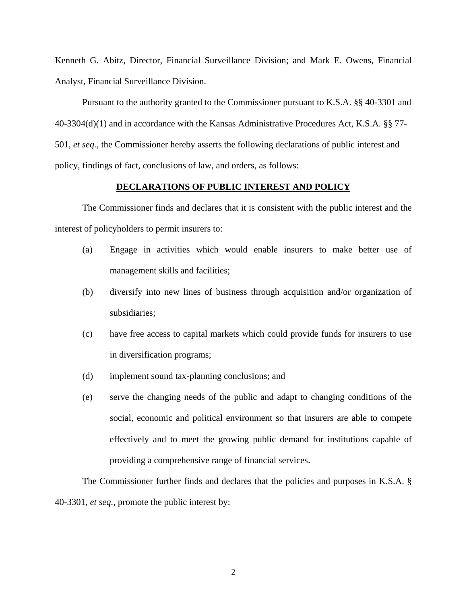Kenneth G. Abitz, Director, Financial Surveillance Division; and Mark E. Owens, Financial Analyst, Financial Surveillance Division.

Pursuant to the authority granted to the Commissioner pursuant to K.S.A. §§ 40-3301 and 40-3304(d)(1) and in accordance with the Kansas Administrative Procedures Act, K.S.A. §§ 77- 501, *et seq.,* the Commissioner hereby asserts the following declarations of public interest and policy, findings of fact, conclusions of law, and orders, as follows:

#### **DECLARATIONS OF PUBLIC INTEREST AND POLICY**

 The Commissioner finds and declares that it is consistent with the public interest and the interest of policyholders to permit insurers to:

- (a) Engage in activities which would enable insurers to make better use of management skills and facilities;
- (b) diversify into new lines of business through acquisition and/or organization of subsidiaries;
- (c) have free access to capital markets which could provide funds for insurers to use in diversification programs;
- (d) implement sound tax-planning conclusions; and
- (e) serve the changing needs of the public and adapt to changing conditions of the social, economic and political environment so that insurers are able to compete effectively and to meet the growing public demand for institutions capable of providing a comprehensive range of financial services.

The Commissioner further finds and declares that the policies and purposes in K.S.A. § 40-3301, *et seq.,* promote the public interest by: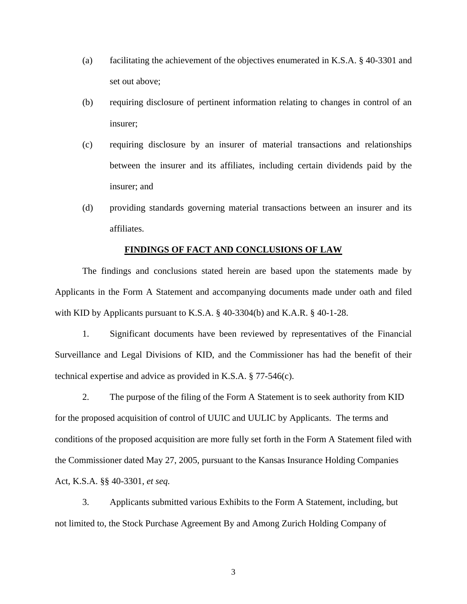- (a) facilitating the achievement of the objectives enumerated in K.S.A. § 40-3301 and set out above;
- (b) requiring disclosure of pertinent information relating to changes in control of an insurer;
- (c) requiring disclosure by an insurer of material transactions and relationships between the insurer and its affiliates, including certain dividends paid by the insurer; and
- (d) providing standards governing material transactions between an insurer and its affiliates.

#### **FINDINGS OF FACT AND CONCLUSIONS OF LAW**

The findings and conclusions stated herein are based upon the statements made by Applicants in the Form A Statement and accompanying documents made under oath and filed with KID by Applicants pursuant to K.S.A. § 40-3304(b) and K.A.R. § 40-1-28.

1. Significant documents have been reviewed by representatives of the Financial Surveillance and Legal Divisions of KID, and the Commissioner has had the benefit of their technical expertise and advice as provided in K.S.A. § 77-546(c).

 2. The purpose of the filing of the Form A Statement is to seek authority from KID for the proposed acquisition of control of UUIC and UULIC by Applicants. The terms and conditions of the proposed acquisition are more fully set forth in the Form A Statement filed with the Commissioner dated May 27, 2005, pursuant to the Kansas Insurance Holding Companies Act, K.S.A. §§ 40-3301, *et seq.*

 3. Applicants submitted various Exhibits to the Form A Statement, including, but not limited to, the Stock Purchase Agreement By and Among Zurich Holding Company of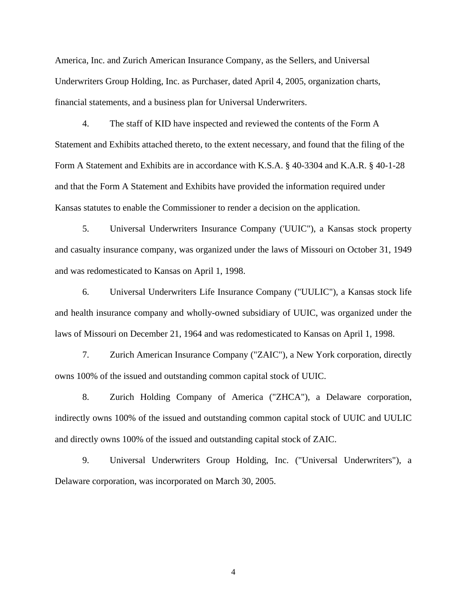America, Inc. and Zurich American Insurance Company, as the Sellers, and Universal Underwriters Group Holding, Inc. as Purchaser, dated April 4, 2005, organization charts, financial statements, and a business plan for Universal Underwriters.

4. The staff of KID have inspected and reviewed the contents of the Form A Statement and Exhibits attached thereto, to the extent necessary, and found that the filing of the Form A Statement and Exhibits are in accordance with K.S.A. § 40-3304 and K.A.R. § 40-1-28 and that the Form A Statement and Exhibits have provided the information required under Kansas statutes to enable the Commissioner to render a decision on the application.

5. Universal Underwriters Insurance Company ('UUIC"), a Kansas stock property and casualty insurance company, was organized under the laws of Missouri on October 31, 1949 and was redomesticated to Kansas on April 1, 1998.

6. Universal Underwriters Life Insurance Company ("UULIC"), a Kansas stock life and health insurance company and wholly-owned subsidiary of UUIC, was organized under the laws of Missouri on December 21, 1964 and was redomesticated to Kansas on April 1, 1998.

7. Zurich American Insurance Company ("ZAIC"), a New York corporation, directly owns 100% of the issued and outstanding common capital stock of UUIC.

8. Zurich Holding Company of America ("ZHCA"), a Delaware corporation, indirectly owns 100% of the issued and outstanding common capital stock of UUIC and UULIC and directly owns 100% of the issued and outstanding capital stock of ZAIC.

9. Universal Underwriters Group Holding, Inc. ("Universal Underwriters"), a Delaware corporation, was incorporated on March 30, 2005.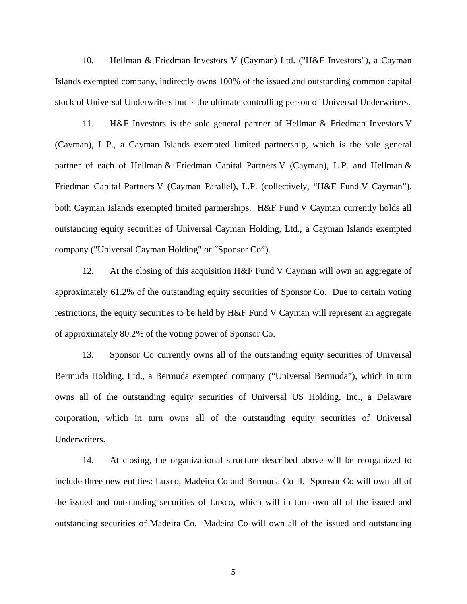10. Hellman & Friedman Investors V (Cayman) Ltd. ("H&F Investors"), a Cayman Islands exempted company, indirectly owns 100% of the issued and outstanding common capital stock of Universal Underwriters but is the ultimate controlling person of Universal Underwriters.

 11. H&F Investors is the sole general partner of Hellman & Friedman Investors V (Cayman), L.P., a Cayman Islands exempted limited partnership, which is the sole general partner of each of Hellman & Friedman Capital Partners V (Cayman), L.P. and Hellman & Friedman Capital Partners V (Cayman Parallel), L.P. (collectively, "H&F Fund V Cayman"), both Cayman Islands exempted limited partnerships. H&F Fund V Cayman currently holds all outstanding equity securities of Universal Cayman Holding, Ltd., a Cayman Islands exempted company ("Universal Cayman Holding" or "Sponsor Co").

 12. At the closing of this acquisition H&F Fund V Cayman will own an aggregate of approximately 61.2% of the outstanding equity securities of Sponsor Co. Due to certain voting restrictions, the equity securities to be held by H&F Fund V Cayman will represent an aggregate of approximately 80.2% of the voting power of Sponsor Co.

13. Sponsor Co currently owns all of the outstanding equity securities of Universal Bermuda Holding, Ltd., a Bermuda exempted company ("Universal Bermuda"), which in turn owns all of the outstanding equity securities of Universal US Holding, Inc., a Delaware corporation, which in turn owns all of the outstanding equity securities of Universal Underwriters.

 14. At closing, the organizational structure described above will be reorganized to include three new entities: Luxco, Madeira Co and Bermuda Co II. Sponsor Co will own all of the issued and outstanding securities of Luxco, which will in turn own all of the issued and outstanding securities of Madeira Co. Madeira Co will own all of the issued and outstanding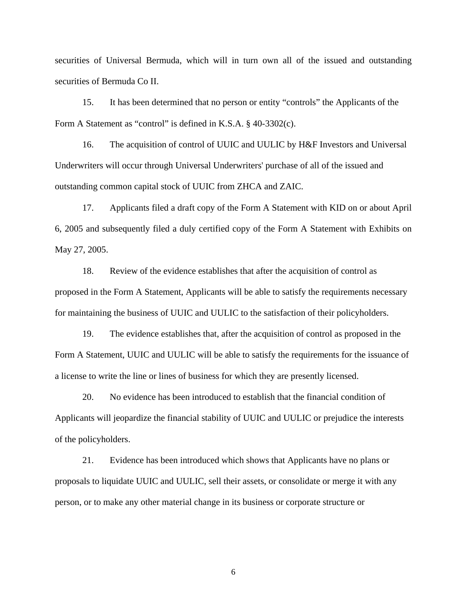securities of Universal Bermuda, which will in turn own all of the issued and outstanding securities of Bermuda Co II.

15. It has been determined that no person or entity "controls" the Applicants of the Form A Statement as "control" is defined in K.S.A. § 40-3302(c).

16. The acquisition of control of UUIC and UULIC by H&F Investors and Universal Underwriters will occur through Universal Underwriters' purchase of all of the issued and outstanding common capital stock of UUIC from ZHCA and ZAIC.

17. Applicants filed a draft copy of the Form A Statement with KID on or about April 6, 2005 and subsequently filed a duly certified copy of the Form A Statement with Exhibits on May 27, 2005.

18. Review of the evidence establishes that after the acquisition of control as proposed in the Form A Statement, Applicants will be able to satisfy the requirements necessary for maintaining the business of UUIC and UULIC to the satisfaction of their policyholders.

19. The evidence establishes that, after the acquisition of control as proposed in the Form A Statement, UUIC and UULIC will be able to satisfy the requirements for the issuance of a license to write the line or lines of business for which they are presently licensed.

20. No evidence has been introduced to establish that the financial condition of Applicants will jeopardize the financial stability of UUIC and UULIC or prejudice the interests of the policyholders.

21. Evidence has been introduced which shows that Applicants have no plans or proposals to liquidate UUIC and UULIC, sell their assets, or consolidate or merge it with any person, or to make any other material change in its business or corporate structure or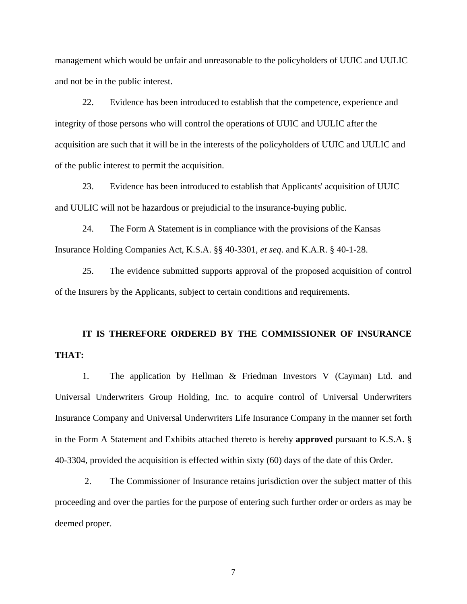management which would be unfair and unreasonable to the policyholders of UUIC and UULIC and not be in the public interest.

22. Evidence has been introduced to establish that the competence, experience and integrity of those persons who will control the operations of UUIC and UULIC after the acquisition are such that it will be in the interests of the policyholders of UUIC and UULIC and of the public interest to permit the acquisition.

23. Evidence has been introduced to establish that Applicants' acquisition of UUIC and UULIC will not be hazardous or prejudicial to the insurance-buying public.

24. The Form A Statement is in compliance with the provisions of the Kansas Insurance Holding Companies Act, K.S.A. §§ 40-3301, *et seq*. and K.A.R. § 40-1-28.

25. The evidence submitted supports approval of the proposed acquisition of control of the Insurers by the Applicants, subject to certain conditions and requirements.

# **IT IS THEREFORE ORDERED BY THE COMMISSIONER OF INSURANCE THAT:**

 1. The application by Hellman & Friedman Investors V (Cayman) Ltd. and Universal Underwriters Group Holding, Inc. to acquire control of Universal Underwriters Insurance Company and Universal Underwriters Life Insurance Company in the manner set forth in the Form A Statement and Exhibits attached thereto is hereby **approved** pursuant to K.S.A. § 40-3304, provided the acquisition is effected within sixty (60) days of the date of this Order.

 2. The Commissioner of Insurance retains jurisdiction over the subject matter of this proceeding and over the parties for the purpose of entering such further order or orders as may be deemed proper.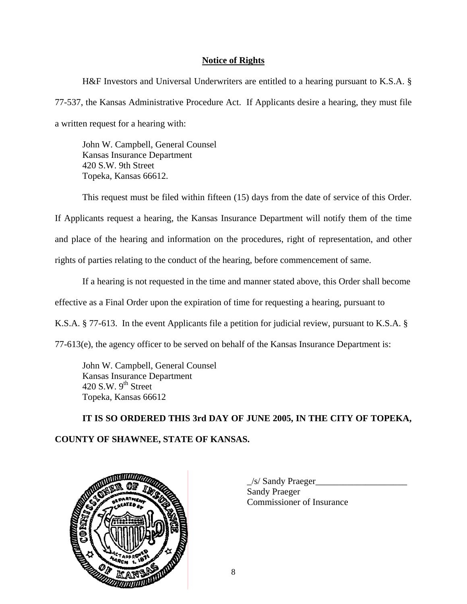# **Notice of Rights**

 H&F Investors and Universal Underwriters are entitled to a hearing pursuant to K.S.A. § 77-537, the Kansas Administrative Procedure Act. If Applicants desire a hearing, they must file a written request for a hearing with:

John W. Campbell, General Counsel Kansas Insurance Department 420 S.W. 9th Street Topeka, Kansas 66612.

This request must be filed within fifteen (15) days from the date of service of this Order.

If Applicants request a hearing, the Kansas Insurance Department will notify them of the time and place of the hearing and information on the procedures, right of representation, and other rights of parties relating to the conduct of the hearing, before commencement of same.

 If a hearing is not requested in the time and manner stated above, this Order shall become effective as a Final Order upon the expiration of time for requesting a hearing, pursuant to K.S.A. § 77-613. In the event Applicants file a petition for judicial review, pursuant to K.S.A. § 77-613(e), the agency officer to be served on behalf of the Kansas Insurance Department is:

 John W. Campbell, General Counsel Kansas Insurance Department 420 S.W.  $9<sup>th</sup>$  Street Topeka, Kansas 66612

**IT IS SO ORDERED THIS 3rd DAY OF JUNE 2005, IN THE CITY OF TOPEKA, COUNTY OF SHAWNEE, STATE OF KANSAS.** 



 $\angle$ s/ Sandy Praeger $\angle$ Sandy Praeger Commissioner of Insurance